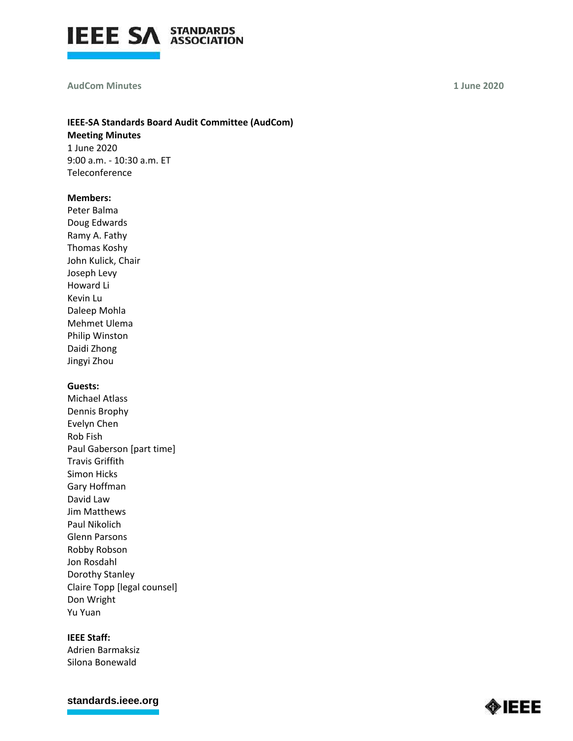

#### **AudCom Minutes**

**1 June 2020**

# **IEEE-SA Standards Board Audit Committee (AudCom)**

**Meeting Minutes** 1 June 2020 9:00 a.m. - 10:30 a.m. ET Teleconference

## **Members:**

Peter Balma Doug Edwards Ramy A. Fathy Thomas Koshy John Kulick, Chair Joseph Levy Howard Li Kevin Lu Daleep Mohla Mehmet Ulema Philip Winston Daidi Zhong Jingyi Zhou

## **Guests:**

Michael Atlass Dennis Brophy Evelyn Chen Rob Fish Paul Gaberson [part time] Travis Griffith Simon Hicks Gary Hoffman David Law Jim Matthews Paul Nikolich Glenn Parsons Robby Robson Jon Rosdahl Dorothy Stanley Claire Topp [legal counsel] Don Wright Yu Yuan

## **IEEE Staff:**

Adrien Barmaksiz Silona Bonewald

**[standards.ieee.org](http://standards.ieee.org/)**

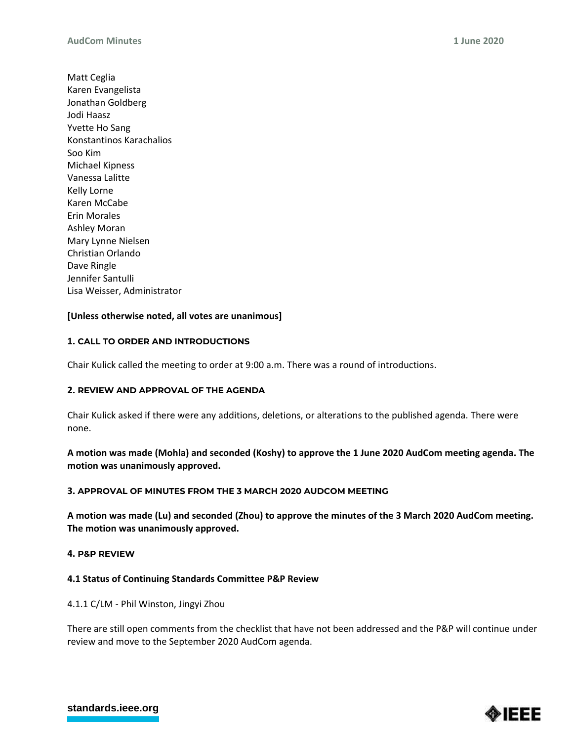Matt Ceglia Karen Evangelista Jonathan Goldberg Jodi Haasz Yvette Ho Sang Konstantinos Karachalios Soo Kim Michael Kipness Vanessa Lalitte Kelly Lorne Karen McCabe Erin Morales Ashley Moran Mary Lynne Nielsen Christian Orlando Dave Ringle Jennifer Santulli Lisa Weisser, Administrator

## **[Unless otherwise noted, all votes are unanimous]**

## **1. CALL TO ORDER AND INTRODUCTIONS**

Chair Kulick called the meeting to order at 9:00 a.m. There was a round of introductions.

## **2. REVIEW AND APPROVAL OF THE AGENDA**

Chair Kulick asked if there were any additions, deletions, or alterations to the published agenda. There were none.

**A motion was made (Mohla) and seconded (Koshy) to approve the 1 June 2020 AudCom meeting agenda. The motion was unanimously approved.**

## **3. APPROVAL OF MINUTES FROM THE 3 MARCH 2020 AUDCOM MEETING**

**A motion was made (Lu) and seconded (Zhou) to approve the minutes of the 3 March 2020 AudCom meeting. The motion was unanimously approved.**

## **4. P&P REVIEW**

## **4.1 Status of Continuing Standards Committee P&P Review**

4.1.1 C/LM - Phil Winston, Jingyi Zhou

There are still open comments from the checklist that have not been addressed and the P&P will continue under review and move to the September 2020 AudCom agenda.



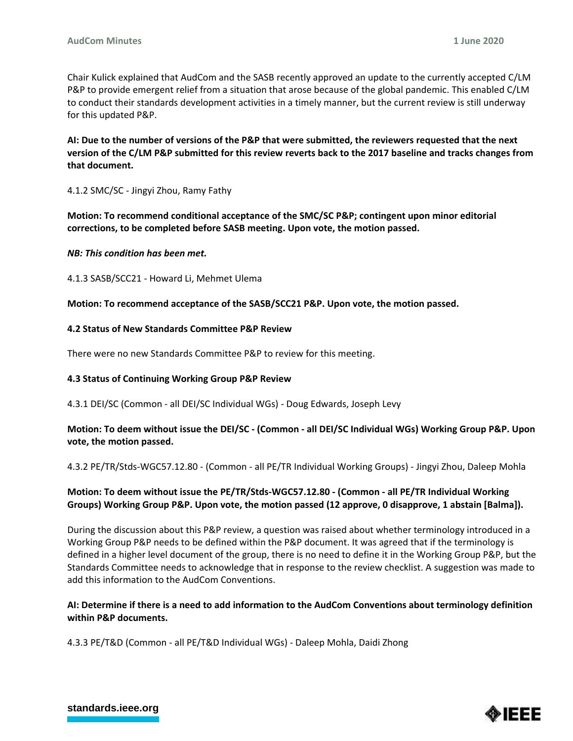Chair Kulick explained that AudCom and the SASB recently approved an update to the currently accepted C/LM P&P to provide emergent relief from a situation that arose because of the global pandemic. This enabled C/LM to conduct their standards development activities in a timely manner, but the current review is still underway for this updated P&P.

**AI: Due to the number of versions of the P&P that were submitted, the reviewers requested that the next version of the C/LM P&P submitted for this review reverts back to the 2017 baseline and tracks changes from that document.** 

4.1.2 SMC/SC - Jingyi Zhou, Ramy Fathy

**Motion: To recommend conditional acceptance of the SMC/SC P&P; contingent upon minor editorial corrections, to be completed before SASB meeting. Upon vote, the motion passed.**

## *NB: This condition has been met.*

4.1.3 SASB/SCC21 - Howard Li, Mehmet Ulema

**Motion: To recommend acceptance of the SASB/SCC21 P&P. Upon vote, the motion passed.**

## **4.2 Status of New Standards Committee P&P Review**

There were no new Standards Committee P&P to review for this meeting.

## **4.3 Status of Continuing Working Group P&P Review**

4.3.1 DEI/SC (Common - all DEI/SC Individual WGs) - Doug Edwards, Joseph Levy

## **Motion: To deem without issue the DEI/SC - (Common - all DEI/SC Individual WGs) Working Group P&P. Upon vote, the motion passed.**

4.3.2 PE/TR/Stds-WGC57.12.80 - (Common - all PE/TR Individual Working Groups) - Jingyi Zhou, Daleep Mohla

# **Motion: To deem without issue the PE/TR/Stds-WGC57.12.80 - (Common - all PE/TR Individual Working Groups) Working Group P&P. Upon vote, the motion passed (12 approve, 0 disapprove, 1 abstain [Balma]).**

During the discussion about this P&P review, a question was raised about whether terminology introduced in a Working Group P&P needs to be defined within the P&P document. It was agreed that if the terminology is defined in a higher level document of the group, there is no need to define it in the Working Group P&P, but the Standards Committee needs to acknowledge that in response to the review checklist. A suggestion was made to add this information to the AudCom Conventions.

# **AI: Determine if there is a need to add information to the AudCom Conventions about terminology definition within P&P documents.**

4.3.3 PE/T&D (Common - all PE/T&D Individual WGs) - Daleep Mohla, Daidi Zhong



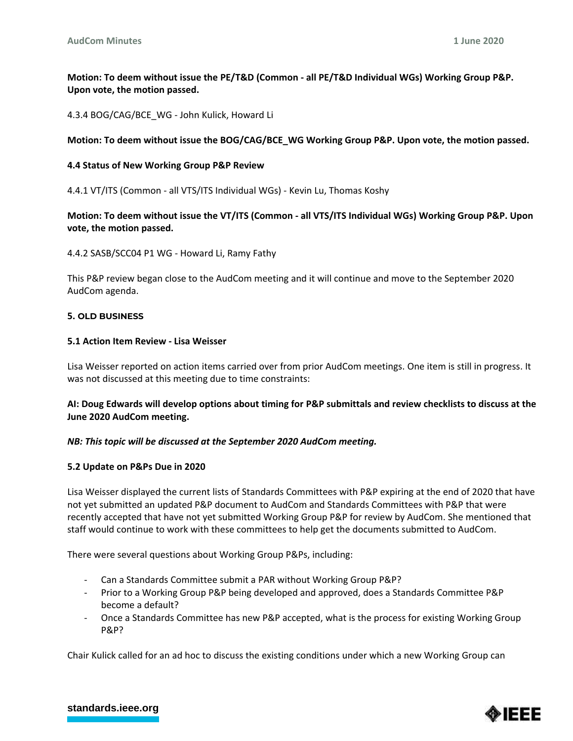**Motion: To deem without issue the PE/T&D (Common - all PE/T&D Individual WGs) Working Group P&P. Upon vote, the motion passed.**

4.3.4 BOG/CAG/BCE\_WG - John Kulick, Howard Li

## **Motion: To deem without issue the BOG/CAG/BCE\_WG Working Group P&P. Upon vote, the motion passed.**

## **4.4 Status of New Working Group P&P Review**

4.4.1 VT/ITS (Common - all VTS/ITS Individual WGs) - Kevin Lu, Thomas Koshy

# **Motion: To deem without issue the VT/ITS (Common - all VTS/ITS Individual WGs) Working Group P&P. Upon vote, the motion passed.**

4.4.2 SASB/SCC04 P1 WG - Howard Li, Ramy Fathy

This P&P review began close to the AudCom meeting and it will continue and move to the September 2020 AudCom agenda.

## **5. OLD BUSINESS**

## **5.1 Action Item Review - Lisa Weisser**

Lisa Weisser reported on action items carried over from prior AudCom meetings. One item is still in progress. It was not discussed at this meeting due to time constraints:

# **AI: Doug Edwards will develop options about timing for P&P submittals and review checklists to discuss at the June 2020 AudCom meeting.**

## *NB: This topic will be discussed at the September 2020 AudCom meeting.*

## **5.2 Update on P&Ps Due in 2020**

Lisa Weisser displayed the current lists of Standards Committees with P&P expiring at the end of 2020 that have not yet submitted an updated P&P document to AudCom and Standards Committees with P&P that were recently accepted that have not yet submitted Working Group P&P for review by AudCom. She mentioned that staff would continue to work with these committees to help get the documents submitted to AudCom.

There were several questions about Working Group P&Ps, including:

- Can a Standards Committee submit a PAR without Working Group P&P?
- Prior to a Working Group P&P being developed and approved, does a Standards Committee P&P become a default?
- Once a Standards Committee has new P&P accepted, what is the process for existing Working Group P&P?

Chair Kulick called for an ad hoc to discuss the existing conditions under which a new Working Group can